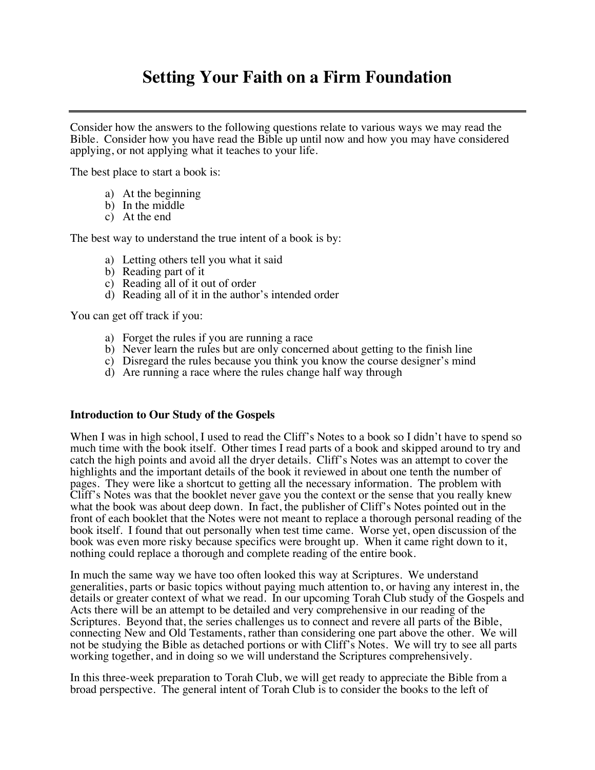Consider how the answers to the following questions relate to various ways we may read the Bible. Consider how you have read the Bible up until now and how you may have considered applying, or not applying what it teaches to your life.

The best place to start a book is:

- a) At the beginning
- b) In the middle
- c) At the end

The best way to understand the true intent of a book is by:

- a) Letting others tell you what it said
- b) Reading part of it
- c) Reading all of it out of order
- d) Reading all of it in the author's intended order

You can get off track if you:

- a) Forget the rules if you are running a race
- b) Never learn the rules but are only concerned about getting to the finish line
- c) Disregard the rules because you think you know the course designer's mind
- d) Are running a race where the rules change half way through

#### **Introduction to Our Study of the Gospels**

When I was in high school, I used to read the Cliff's Notes to a book so I didn't have to spend so much time with the book itself. Other times I read parts of a book and skipped around to try and catch the high points and avoid all the dryer details. Cliff's Notes was an attempt to cover the highlights and the important details of the book it reviewed in about one tenth the number of pages. They were like a shortcut to getting all the necessary information. The problem with Cliff's Notes was that the booklet never gave you the context or the sense that you really knew what the book was about deep down. In fact, the publisher of Cliff's Notes pointed out in the front of each booklet that the Notes were not meant to replace a thorough personal reading of the book itself. I found that out personally when test time came. Worse yet, open discussion of the book was even more risky because specifics were brought up. When it came right down to it, nothing could replace a thorough and complete reading of the entire book.

In much the same way we have too often looked this way at Scriptures. We understand generalities, parts or basic topics without paying much attention to, or having any interest in, the details or greater context of what we read. In our upcoming Torah Club study of the Gospels and Acts there will be an attempt to be detailed and very comprehensive in our reading of the Scriptures. Beyond that, the series challenges us to connect and revere all parts of the Bible, connecting New and Old Testaments, rather than considering one part above the other. We will not be studying the Bible as detached portions or with Cliff's Notes. We will try to see all parts working together, and in doing so we will understand the Scriptures comprehensively.

In this three-week preparation to Torah Club, we will get ready to appreciate the Bible from a broad perspective. The general intent of Torah Club is to consider the books to the left of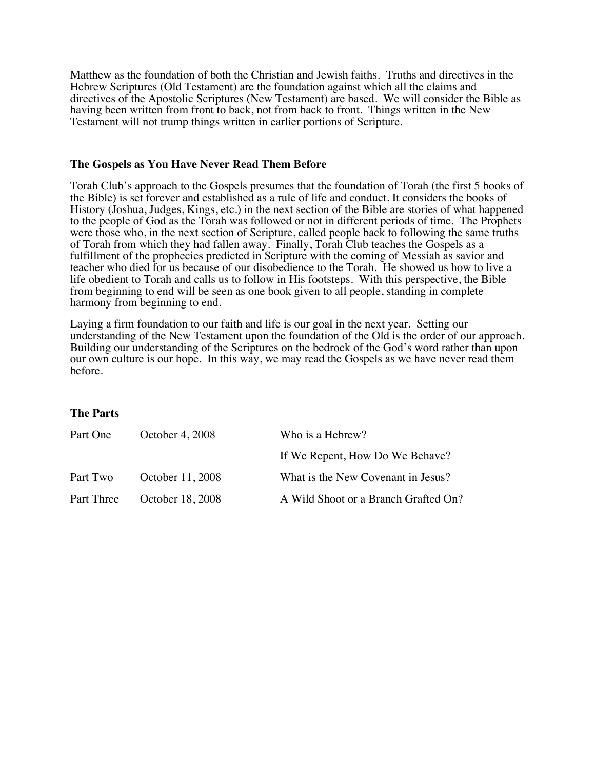Matthew as the foundation of both the Christian and Jewish faiths. Truths and directives in the Hebrew Scriptures (Old Testament) are the foundation against which all the claims and directives of the Apostolic Scriptures (New Testament) are based. We will consider the Bible as having been written from front to back, not from back to front. Things written in the New Testament will not trump things written in earlier portions of Scripture.

#### **The Gospels as You Have Never Read Them Before**

Torah Club's approach to the Gospels presumes that the foundation of Torah (the first 5 books of the Bible) is set forever and established as a rule of life and conduct. It considers the books of History (Joshua, Judges, Kings, etc.) in the next section of the Bible are stories of what happened to the people of God as the Torah was followed or not in different periods of time. The Prophets were those who, in the next section of Scripture, called people back to following the same truths of Torah from which they had fallen away. Finally, Torah Club teaches the Gospels as a fulfillment of the prophecies predicted in Scripture with the coming of Messiah as savior and teacher who died for us because of our disobedience to the Torah. He showed us how to live a life obedient to Torah and calls us to follow in His footsteps. With this perspective, the Bible from beginning to end will be seen as one book given to all people, standing in complete harmony from beginning to end.

Laying a firm foundation to our faith and life is our goal in the next year. Setting our understanding of the New Testament upon the foundation of the Old is the order of our approach. Building our understanding of the Scriptures on the bedrock of the God's word rather than upon our own culture is our hope. In this way, we may read the Gospels as we have never read them before.

#### **The Parts**

| Part One   | October 4, 2008  | Who is a Hebrew?                     |
|------------|------------------|--------------------------------------|
|            |                  | If We Repent, How Do We Behave?      |
| Part Two   | October 11, 2008 | What is the New Covenant in Jesus?   |
| Part Three | October 18, 2008 | A Wild Shoot or a Branch Grafted On? |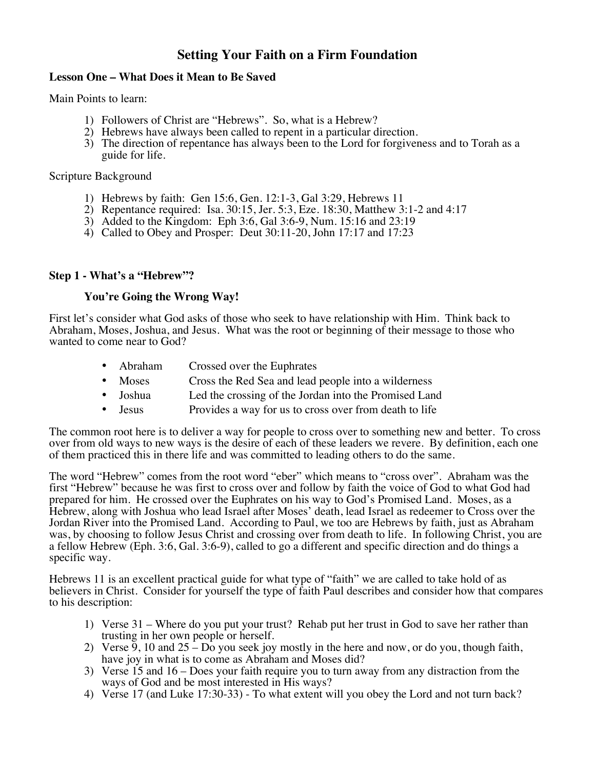### **Lesson One – What Does it Mean to Be Saved**

Main Points to learn:

- 
- 1) Followers of Christ are "Hebrews". So, what is a Hebrew?<br>2) Hebrews have always been called to repent in a particular direction.
- 3) The direction of repentance has always been to the Lord for forgiveness and to Torah as a guide for life.

#### Scripture Background

- 1) Hebrews by faith: Gen 15:6, Gen. 12:1-3, Gal 3:29, Hebrews 11
- 2) Repentance required: Isa. 30:15, Jer. 5:3, Eze. 18:30, Matthew 3:1-2 and 4:17
- 3) Added to the Kingdom: Eph 3:6, Gal 3:6-9, Num. 15:16 and 23:19
- 4) Called to Obey and Prosper: Deut 30:11-20, John 17:17 and 17:23

## **Step 1 - What's a "Hebrew"?**

### **You're Going the Wrong Way!**

First let's consider what God asks of those who seek to have relationship with Him. Think back to Abraham, Moses, Joshua, and Jesus. What was the root or beginning of their message to those who wanted to come near to God?

- Abraham Crossed over the Euphrates
- Moses Cross the Red Sea and lead people into a wilderness
- Joshua Led the crossing of the Jordan into the Promised Land
- Jesus Provides a way for us to cross over from death to life

The common root here is to deliver a way for people to cross over to something new and better. To cross over from old ways to new ways is the desire of each of these leaders we revere. By definition, each one of them practiced this in there life and was committed to leading others to do the same.

The word "Hebrew" comes from the root word "eber" which means to "cross over". Abraham was the first "Hebrew" because he was first to cross over and follow by faith the voice of God to what God had prepared for him. He crossed over the Euphrates on his way to God's Promised Land. Moses, as a Hebrew, along with Joshua who lead Israel after Moses' death, lead Israel as redeemer to Cross over the Jordan River into the Promised Land. According to Paul, we too are Hebrews by faith, just as Abraham was, by choosing to follow Jesus Christ and crossing over from death to life. In following Christ, you are a fellow Hebrew (Eph. 3:6, Gal. 3:6-9), called to go a different and specific direction and do things a specific way.

Hebrews 11 is an excellent practical guide for what type of "faith" we are called to take hold of as believers in Christ. Consider for yourself the type of faith Paul describes and consider how that compares to his description:

- 1) Verse 31 Where do you put your trust? Rehab put her trust in God to save her rather than trusting in her own people or herself.
- 2) Verse  $\overline{9}$ , 10 and  $25 Do$  you seek joy mostly in the here and now, or do you, though faith, have joy in what is to come as Abraham and Moses did?
- 3) Verse 15 and 16 Does your faith require you to turn away from any distraction from the ways of God and be most interested in His ways?
- 4) Verse 17 (and Luke 17:30-33) To what extent will you obey the Lord and not turn back?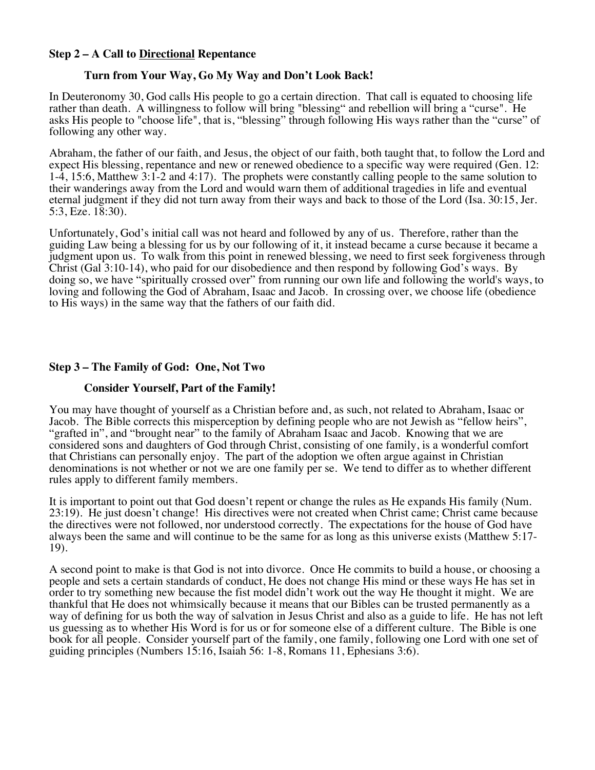#### **Step 2 – A Call to Directional Repentance**

### **Turn from Your Way, Go My Way and Don't Look Back!**

In Deuteronomy 30, God calls His people to go a certain direction. That call is equated to choosing life rather than death. A willingness to follow will bring "blessing" and rebellion will bring a "curse". He asks His people to "choose life", that is, "blessing" through following His ways rather than the "curse" of following any other way.

Abraham, the father of our faith, and Jesus, the object of our faith, both taught that, to follow the Lord and expect His blessing, repentance and new or renewed obedience to a specific way were required (Gen. 12: 1-4, 15:6, Matthew 3:1-2 and 4:17). The prophets were constantly calling people to the same solution to their wanderings away from the Lord and would warn them of additional tragedies in life and eventual eternal judgment if they did not turn away from their ways and back to those of the Lord (Isa. 30:15, Jer. 5:3, Eze. 18:30).

Unfortunately, God's initial call was not heard and followed by any of us. Therefore, rather than the guiding Law being a blessing for us by our following of it, it instead became a curse because it became a judgment upon us. To walk from this point in renewed blessing, we need to first seek forgiveness through Christ (Gal 3:10-14), who paid for our disobedience and then respond by following God's ways. By doing so, we have "spiritually crossed over" from running our own life and following the world's ways, to loving and following the God of Abraham, Isaac and Jacob. In crossing over, we choose life (obedience to His ways) in the same way that the fathers of our faith did.

#### **Step 3 – The Family of God: One, Not Two**

#### **Consider Yourself, Part of the Family!**

You may have thought of yourself as a Christian before and, as such, not related to Abraham, Isaac or Jacob. The Bible corrects this misperception by defining people who are not Jewish as "fellow heirs", "grafted in", and "brought near" to the family of Abraham Isaac and Jacob. Knowing that we are considered sons and daughters of God through Christ, consisting of one family, is a wonderful comfort that Christians can personally enjoy. The part of the adoption we often argue against in Christian denominations is not whether or not we are one family per se. We tend to differ as to whether different rules apply to different family members.

It is important to point out that God doesn't repent or change the rules as He expands His family (Num. 23:19). He just doesn't change! His directives were not created when Christ came; Christ came because the directives were not followed, nor understood correctly. The expectations for the house of God have always been the same and will continue to be the same for as long as this universe exists (Matthew 5:17- 19).

A second point to make is that God is not into divorce. Once He commits to build a house, or choosing a people and sets a certain standards of conduct, He does not change His mind or these ways He has set in order to try something new because the fist model didn't work out the way He thought it might. We are thankful that He does not whimsically because it means that our Bibles can be trusted permanently as a way of defining for us both the way of salvation in Jesus Christ and also as a guide to life. He has not left us guessing as to whether His Word is for us or for someone else of a different culture. The Bible is one book for all people. Consider yourself part of the family, one family, following one Lord with one set of guiding principles (Numbers 15:16, Isaiah 56: 1-8, Romans 11, Ephesians 3:6).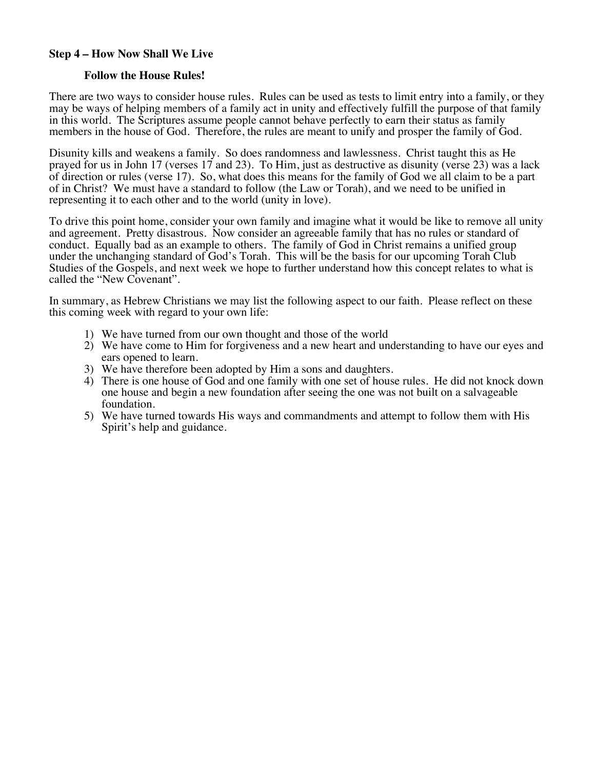#### **Step 4 – How Now Shall We Live**

#### **Follow the House Rules!**

There are two ways to consider house rules. Rules can be used as tests to limit entry into a family, or they may be ways of helping members of a family act in unity and effectively fulfill the purpose of that family in this world. The Scriptures assume people cannot behave perfectly to earn their status as family members in the house of God. Therefore, the rules are meant to unify and prosper the family of God.

Disunity kills and weakens a family. So does randomness and lawlessness. Christ taught this as He prayed for us in John 17 (verses 17 and 23). To Him, just as destructive as disunity (verse 23) was a lack of direction or rules (verse 17). So, what does this means for the family of God we all claim to be a part of in Christ? We must have a standard to follow (the Law or Torah), and we need to be unified in representing it to each other and to the world (unity in love).

To drive this point home, consider your own family and imagine what it would be like to remove all unity and agreement. Pretty disastrous. Now consider an agreeable family that has no rules or standard of conduct. Equally bad as an example to others. The family of God in Christ remains a unified group under the unchanging standard of God's Torah. This will be the basis for our upcoming Torah Club Studies of the Gospels, and next week we hope to further understand how this concept relates to what is called the "New Covenant".

In summary, as Hebrew Christians we may list the following aspect to our faith. Please reflect on these this coming week with regard to your own life:

- 1) We have turned from our own thought and those of the world
- 2) We have come to Him for forgiveness and a new heart and understanding to have our eyes and ears opened to learn.
- 3) We have therefore been adopted by Him a sons and daughters.
- 4) There is one house of God and one family with one set of house rules. He did not knock down one house and begin a new foundation after seeing the one was not built on a salvageable foundation.
- 5) We have turned towards His ways and commandments and attempt to follow them with His Spirit's help and guidance.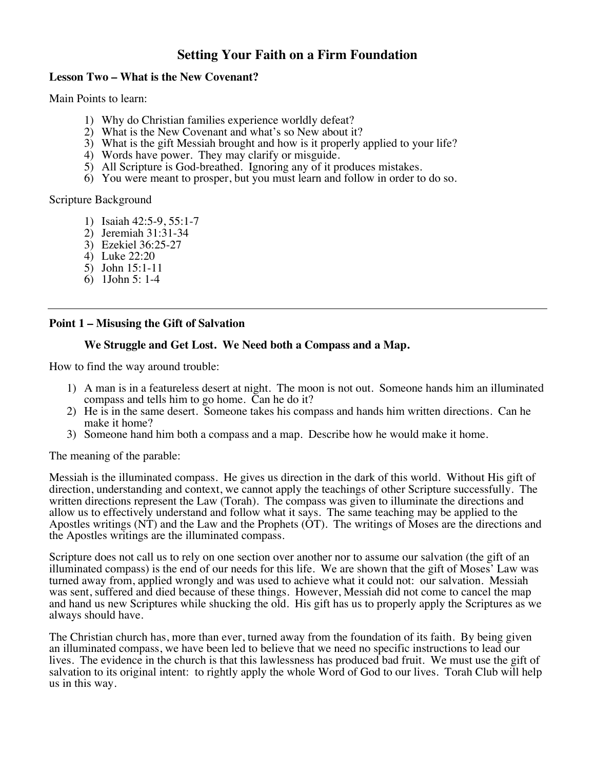#### **Lesson Two – What is the New Covenant?**

Main Points to learn:

- 1) Why do Christian families experience worldly defeat?
- 2) What is the New Covenant and what's so New about it?
- 3) What is the gift Messiah brought and how is it properly applied to your life?
- 4) Words have power. They may clarify or misguide.
- 5) All Scripture is God-breathed. Ignoring any of it produces mistakes.
- 6) You were meant to prosper, but you must learn and follow in order to do so.

Scripture Background

- 1) Isaiah 42:5-9, 55:1-7
- 2) Jeremiah 31:31-34
- 3) Ezekiel 36:25-27
- 4) Luke 22:20
- 5) John 15:1-11
- 6) 1John 5: 1-4

### **Point 1 – Misusing the Gift of Salvation**

#### **We Struggle and Get Lost. We Need both a Compass and a Map.**

How to find the way around trouble:

- 1) A man is in a featureless desert at night. The moon is not out. Someone hands him an illuminated compass and tells him to go home. Can he do it?
- 2) He is in the same desert. Someone takes his compass and hands him written directions. Can he make it home?
- 3) Someone hand him both a compass and a map. Describe how he would make it home.

The meaning of the parable:

Messiah is the illuminated compass. He gives us direction in the dark of this world. Without His gift of direction, understanding and context, we cannot apply the teachings of other Scripture successfully. The written directions represent the Law (Torah). The compass was given to illuminate the directions and allow us to effectively understand and follow what it says. The same teaching may be applied to the Apostles writings (NT) and the Law and the Prophets (OT). The writings of Moses are the directions and the Apostles writings are the illuminated compass.

Scripture does not call us to rely on one section over another nor to assume our salvation (the gift of an illuminated compass) is the end of our needs for this life. We are shown that the gift of Moses' Law was turned away from, applied wrongly and was used to achieve what it could not: our salvation. Messiah was sent, suffered and died because of these things. However, Messiah did not come to cancel the map and hand us new Scriptures while shucking the old. His gift has us to properly apply the Scriptures as we always should have.

The Christian church has, more than ever, turned away from the foundation of its faith. By being given an illuminated compass, we have been led to believe that we need no specific instructions to lead our lives. The evidence in the church is that this lawlessness has produced bad fruit. We must use the gift of salvation to its original intent: to rightly apply the whole Word of God to our lives. Torah Club will help us in this way.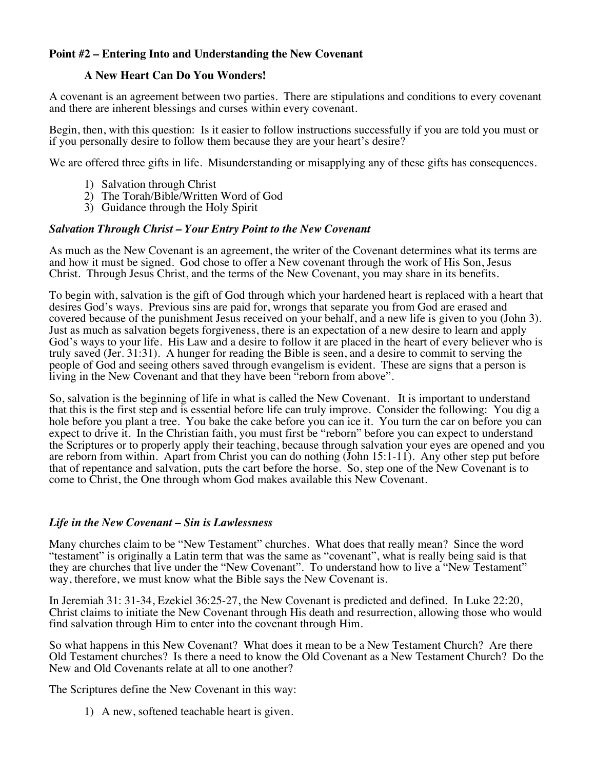### **Point #2 – Entering Into and Understanding the New Covenant**

#### **A New Heart Can Do You Wonders!**

A covenant is an agreement between two parties. There are stipulations and conditions to every covenant and there are inherent blessings and curses within every covenant.

Begin, then, with this question: Is it easier to follow instructions successfully if you are told you must or if you personally desire to follow them because they are your heart's desire?

We are offered three gifts in life. Misunderstanding or misapplying any of these gifts has consequences.

- 1) Salvation through Christ
- 2) The Torah/Bible/Written Word of God
- 3) Guidance through the Holy Spirit

#### *Salvation Through Christ – Your Entry Point to the New Covenant*

As much as the New Covenant is an agreement, the writer of the Covenant determines what its terms are and how it must be signed. God chose to offer a New covenant through the work of His Son, Jesus Christ. Through Jesus Christ, and the terms of the New Covenant, you may share in its benefits.

To begin with, salvation is the gift of God through which your hardened heart is replaced with a heart that desires God's ways. Previous sins are paid for, wrongs that separate you from God are erased and covered because of the punishment Jesus received on your behalf, and a new life is given to you (John 3). Just as much as salvation begets forgiveness, there is an expectation of a new desire to learn and apply God's ways to your life. His Law and a desire to follow it are placed in the heart of every believer who is truly saved (Jer. 31:31). A hunger for reading the Bible is seen, and a desire to commit to serving the people of God and seeing others saved through evangelism is evident. These are signs that a person is living in the New Covenant and that they have been "reborn from above".

So, salvation is the beginning of life in what is called the New Covenant. It is important to understand that this is the first step and is essential before life can truly improve. Consider the following: You dig a hole before you plant a tree. You bake the cake before you can ice it. You turn the car on before you can expect to drive it. In the Christian faith, you must first be "reborn" before you can expect to understand the Scriptures or to properly apply their teaching, because through salvation your eyes are opened and you are reborn from within. Apart from Christ you can do nothing (John 15:1-11). Any other step put before that of repentance and salvation, puts the cart before the horse. So, step one of the New Covenant is to come to Christ, the One through whom God makes available this New Covenant.

#### *Life in the New Covenant – Sin is Lawlessness*

Many churches claim to be "New Testament" churches. What does that really mean? Since the word "testament" is originally a Latin term that was the same as "covenant", what is really being said is that they are churches that live under the "New Covenant". To understand how to live a "New Testament" way, therefore, we must know what the Bible says the New Covenant is.

In Jeremiah 31: 31-34, Ezekiel 36:25-27, the New Covenant is predicted and defined. In Luke 22:20, Christ claims to initiate the New Covenant through His death and resurrection, allowing those who would find salvation through Him to enter into the covenant through Him.

So what happens in this New Covenant? What does it mean to be a New Testament Church? Are there Old Testament churches? Is there a need to know the Old Covenant as a New Testament Church? Do the New and Old Covenants relate at all to one another?

The Scriptures define the New Covenant in this way:

1) A new, softened teachable heart is given.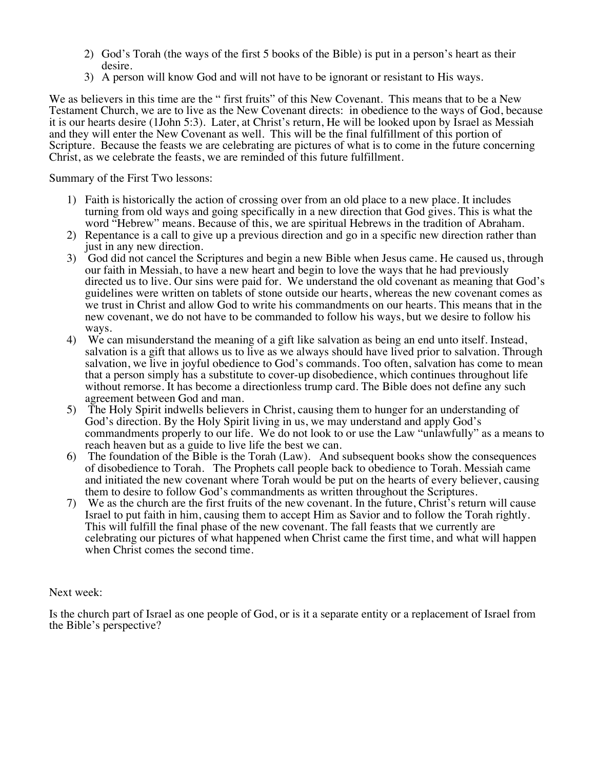- 2) God's Torah (the ways of the first 5 books of the Bible) is put in a person's heart as their
- 3) A person will know God and will not have to be ignorant or resistant to His ways.

We as believers in this time are the " first fruits" of this New Covenant. This means that to be a New Testament Church, we are to live as the New Covenant directs: in obedience to the ways of God, because it is our hearts desire (1John 5:3). Later, at Christ's return, He will be looked upon by Israel as Messiah and they will enter the New Covenant as well. This will be the final fulfillment of this portion of Scripture. Because the feasts we are celebrating are pictures of what is to come in the future concerning Christ, as we celebrate the feasts, we are reminded of this future fulfillment.

Summary of the First Two lessons:

- 1) Faith is historically the action of crossing over from an old place to a new place. It includes turning from old ways and going specifically in a new direction that God gives. This is what the word "Hebrew" means. Because of this, we are spiritual Hebrews in the tradition of Abraham.
- 2) Repentance is a call to give up a previous direction and go in a specific new direction rather than just in any new direction.
- 3) God did not cancel the Scriptures and begin a new Bible when Jesus came. He caused us, through our faith in Messiah, to have a new heart and begin to love the ways that he had previously directed us to live. Our sins were paid for. We understand the old covenant as meaning that God's guidelines were written on tablets of stone outside our hearts, whereas the new covenant comes as we trust in Christ and allow God to write his commandments on our hearts. This means that in the new covenant, we do not have to be commanded to follow his ways, but we desire to follow his ways.
- 4) We can misunderstand the meaning of a gift like salvation as being an end unto itself. Instead, salvation is a gift that allows us to live as we always should have lived prior to salvation. Through salvation, we live in joyful obedience to God's commands. Too often, salvation has come to mean that a person simply has a substitute to cover-up disobedience, which continues throughout life without remorse. It has become a directionless trump card. The Bible does not define any such agreement between God and man.
- 5) The Holy Spirit indwells believers in Christ, causing them to hunger for an understanding of God's direction. By the Holy Spirit living in us, we may understand and apply God's commandments properly to our life. We do not look to or use the Law "unlawfully" as a means to reach heaven but as a guide to live life the best we can.
- 6) The foundation of the Bible is the Torah (Law). And subsequent books show the consequences of disobedience to Torah. The Prophets call people back to obedience to Torah. Messiah came and initiated the new covenant where Torah would be put on the hearts of every believer, causing them to desire to follow God's commandments as written throughout the Scriptures.
- 7) We as the church are the first fruits of the new covenant. In the future, Christ's return will cause Israel to put faith in him, causing them to accept Him as Savior and to follow the Torah rightly. This will fulfill the final phase of the new covenant. The fall feasts that we currently are celebrating our pictures of what happened when Christ came the first time, and what will happen when Christ comes the second time.

#### Next week:

Is the church part of Israel as one people of God, or is it a separate entity or a replacement of Israel from the Bible's perspective?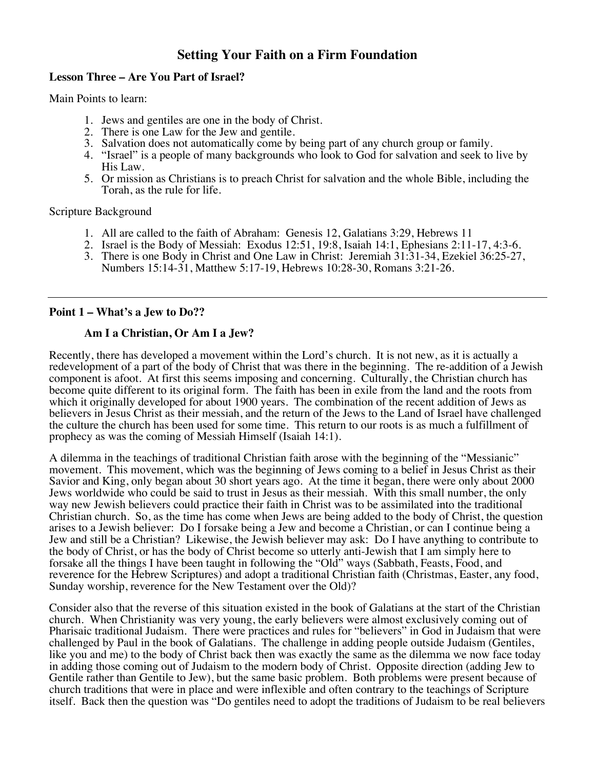#### **Lesson Three – Are You Part of Israel?**

Main Points to learn:

- 1. Jews and gentiles are one in the body of Christ.
- 2. There is one Law for the Jew and gentile.
- 3. Salvation does not automatically come by being part of any church group or family.
- 4. "Israel" is a people of many backgrounds who look to God for salvation and seek to live by His Law.
- 5. Or mission as Christians is to preach Christ for salvation and the whole Bible, including the Torah, as the rule for life.

Scripture Background

- 1. All are called to the faith of Abraham: Genesis 12, Galatians 3:29, Hebrews 11
- 2. Israel is the Body of Messiah: Exodus 12:51, 19:8, Isaiah 14:1, Ephesians 2:11-17, 4:3-6.
- 3. There is one Body in Christ and One Law in Christ: Jeremiah 31:31-34, Ezekiel 36:25-27, Numbers 15:14-31, Matthew 5:17-19, Hebrews 10:28-30, Romans 3:21-26.

#### **Point 1 – What's a Jew to Do??**

#### **Am I a Christian, Or Am I a Jew?**

Recently, there has developed a movement within the Lord's church. It is not new, as it is actually a redevelopment of a part of the body of Christ that was there in the beginning. The re-addition of a Jewish component is afoot. At first this seems imposing and concerning. Culturally, the Christian church has become quite different to its original form. The faith has been in exile from the land and the roots from which it originally developed for about 1900 years. The combination of the recent addition of Jews as believers in Jesus Christ as their messiah, and the return of the Jews to the Land of Israel have challenged the culture the church has been used for some time. This return to our roots is as much a fulfillment of prophecy as was the coming of Messiah Himself (Isaiah 14:1).

A dilemma in the teachings of traditional Christian faith arose with the beginning of the "Messianic" movement. This movement, which was the beginning of Jews coming to a belief in Jesus Christ as their Savior and King, only began about 30 short years ago. At the time it began, there were only about 2000 Jews worldwide who could be said to trust in Jesus as their messiah. With this small number, the only way new Jewish believers could practice their faith in Christ was to be assimilated into the traditional Christian church. So, as the time has come when Jews are being added to the body of Christ, the question arises to a Jewish believer: Do I forsake being a Jew and become a Christian, or can I continue being a Jew and still be a Christian? Likewise, the Jewish believer may ask: Do I have anything to contribute to the body of Christ, or has the body of Christ become so utterly anti-Jewish that I am simply here to forsake all the things I have been taught in following the "Old" ways (Sabbath, Feasts, Food, and reverence for the Hebrew Scriptures) and adopt a traditional Christian faith (Christmas, Easter, any food, Sunday worship, reverence for the New Testament over the Old)?

Consider also that the reverse of this situation existed in the book of Galatians at the start of the Christian church. When Christianity was very young, the early believers were almost exclusively coming out of Pharisaic traditional Judaism. There were practices and rules for "believers" in God in Judaism that were challenged by Paul in the book of Galatians. The challenge in adding people outside Judaism (Gentiles, like you and me) to the body of Christ back then was exactly the same as the dilemma we now face today in adding those coming out of Judaism to the modern body of Christ. Opposite direction (adding Jew to Gentile rather than Gentile to Jew), but the same basic problem. Both problems were present because of church traditions that were in place and were inflexible and often contrary to the teachings of Scripture itself. Back then the question was "Do gentiles need to adopt the traditions of Judaism to be real believers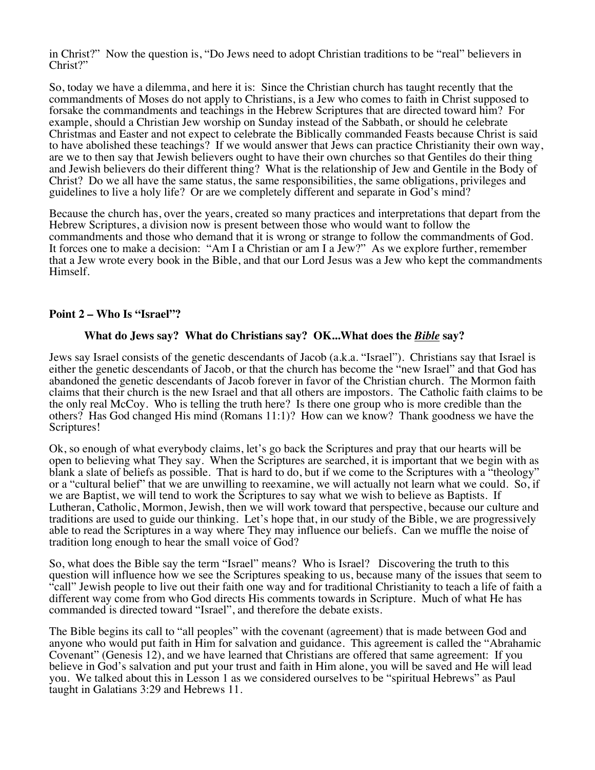in Christ?" Now the question is, "Do Jews need to adopt Christian traditions to be "real" believers in Christ?"

So, today we have a dilemma, and here it is: Since the Christian church has taught recently that the commandments of Moses do not apply to Christians, is a Jew who comes to faith in Christ supposed to forsake the commandments and teachings in the Hebrew Scriptures that are directed toward him? For example, should a Christian Jew worship on Sunday instead of the Sabbath, or should he celebrate Christmas and Easter and not expect to celebrate the Biblically commanded Feasts because Christ is said are we to then say that Jewish believers ought to have their own churches so that Gentiles do their thing and Jewish believers do their different thing? What is the relationship of Jew and Gentile in the Body of Christ? Do we all have the same status, the same responsibilities, the same obligations, privileges and guidelines to live a holy life? Or are we completely different and separate in God's mind?

Because the church has, over the years, created so many practices and interpretations that depart from the Hebrew Scriptures, a division now is present between those who would want to follow the commandments and those who demand that it is wrong or strange to follow the commandments of God. It forces one to make a decision: "Am I a Christian or am I a Jew?" As we explore further, remember that a Jew wrote every book in the Bible, and that our Lord Jesus was a Jew who kept the commandments Himself.

#### **Point 2 – Who Is "Israel"?**

#### **What do Jews say? What do Christians say? OK...What does the** *Bible* **say?**

Jews say Israel consists of the genetic descendants of Jacob (a.k.a. "Israel"). Christians say that Israel is either the genetic descendants of Jacob, or that the church has become the "new Israel" and that God has abandoned the genetic descendants of Jacob forever in favor of the Christian church. The Mormon faith claims that their church is the new Israel and that all others are impostors. The Catholic faith claims to be the only real McCoy. Who is telling the truth here? Is there one group who is more credible than the others? Has God changed His mind (Romans 11:1)? How can we know? Thank goodness we have the Scriptures!

Ok, so enough of what everybody claims, let's go back the Scriptures and pray that our hearts will be open to believing what They say. When the Scriptures are searched, it is important that we begin with as blank a slate of beliefs as possible. That is hard to do, but if we come to the Scriptures with a "theology" or a "cultural belief" that we are unwilling to reexamine, we will actually not learn what we could. So, if we are Baptist, we will tend to work the Scriptures to say what we wish to believe as Baptists. If Lutheran, Catholic, Mormon, Jewish, then we will work toward that perspective, because our culture and traditions are used to guide our thinking. Let's hope that, in our study of the Bible, we are progressively able to read the Scriptures in a way where They may influence our beliefs. Can we muffle the noise of tradition long enough to hear the small voice of God?

So, what does the Bible say the term "Israel" means? Who is Israel? Discovering the truth to this question will influence how we see the Scriptures speaking to us, because many of the issues that seem to "call" Jewish people to live out their faith one way and for traditional Christianity to teach a life of faith a different way come from who God directs His comments towards in Scripture. Much of what He has commanded is directed toward "Israel", and therefore the debate exists.

The Bible begins its call to "all peoples" with the covenant (agreement) that is made between God and anyone who would put faith in Him for salvation and guidance. This agreement is called the "Abrahamic Covenant" (Genesis 12), and we have learned that Christians are offered that same agreement: If you believe in God's salvation and put your trust and faith in Him alone, you will be saved and He will lead you. We talked about this in Lesson 1 as we considered ourselves to be "spiritual Hebrews" as Paul taught in Galatians 3:29 and Hebrews 11.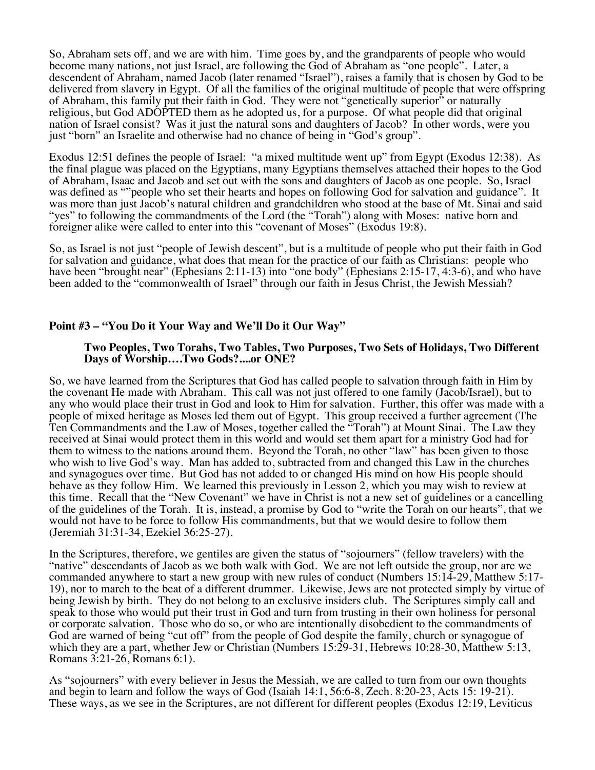So, Abraham sets off, and we are with him. Time goes by, and the grandparents of people who would become many nations, not just Israel, are following the God of Abraham as "one people". Later, a descendent of Abraham, named Jacob (later renamed "Israel"), raises a family that is chosen by God to be delivered from slavery in Egypt. Of all the families of the original multitude of people that were offspring of Abraham, this family put their faith in God. They were not "genetically superior" or naturally religious, but God ADOPTED them as he adopted us, for a purpose. Of what people did that original nation of Israel consist? Was it just the natural sons and daughters of Jacob? In other words, were you just "born" an Israelite and otherwise had no chance of being in "God's group".

Exodus 12:51 defines the people of Israel: "a mixed multitude went up" from Egypt (Exodus 12:38). As the final plague was placed on the Egyptians, many Egyptians themselves attached their hopes to the God of Abraham, Isaac and Jacob and set out with the sons and daughters of Jacob as one people. So, Israel was defined as ""people who set their hearts and hopes on following God for salvation and guidance". It was more than just Jacob's natural children and grandchildren who stood at the base of Mt. Sinai and said "yes" to following the commandments of the Lord (the "Torah") along with Moses: native born and foreigner alike were called to enter into this "covenant of Moses" (Exodus 19:8).

So, as Israel is not just "people of Jewish descent", but is a multitude of people who put their faith in God for salvation and guidance, what does that mean for the practice of our faith as Christians: people who have been "brought near" (Ephesians 2:11-13) into "one body" (Ephesians 2:15-17, 4:3-6), and who have been added to the "commonwealth of Israel" through our faith in Jesus Christ, the Jewish Messiah?

#### **Point #3 – "You Do it Your Way and We'll Do it Our Way"**

#### **Two Peoples, Two Torahs, Two Tables, Two Purposes, Two Sets of Holidays, Two Different Days of Worship….Two Gods?....or ONE?**

So, we have learned from the Scriptures that God has called people to salvation through faith in Him by the covenant He made with Abraham. This call was not just offered to one family (Jacob/Israel), but to any who would place their trust in God and look to Him for salvation. Further, this offer was made with a people of mixed heritage as Moses led them out of Egypt. This group received a further agreement (The Ten Commandments and the Law of Moses, together called the "Torah") at Mount Sinai. The Law they received at Sinai would protect them in this world and would set them apart for a ministry God had for them to witness to the nations around them. Beyond the Torah, no other "law" has been given to those who wish to live God's way. Man has added to, subtracted from and changed this Law in the churches and synagogues over time. But God has not added to or changed His mind on how His people should behave as they follow Him. We learned this previously in Lesson 2, which you may wish to review at this time. Recall that the "New Covenant" we have in Christ is not a new set of guidelines or a cancelling of the guidelines of the Torah. It is, instead, a promise by God to "write the Torah on our hearts", that we would not have to be force to follow His commandments, but that we would desire to follow them (Jeremiah 31:31-34, Ezekiel 36:25-27).

In the Scriptures, therefore, we gentiles are given the status of "sojourners" (fellow travelers) with the "native" descendants of Jacob as we both walk with God. We are not left outside the group, nor are we commanded anywhere to start a new group with new rules of conduct (Numbers 15:14-29, Matthew 5:17- 19), nor to march to the beat of a different drummer. Likewise, Jews are not protected simply by virtue of being Jewish by birth. They do not belong to an exclusive insiders club. The Scriptures simply call and speak to those who would put their trust in God and turn from trusting in their own holiness for personal or corporate salvation. Those who do so, or who are intentionally disobedient to the commandments of God are warned of being "cut off" from the people of God despite the family, church or synagogue of which they are a part, whether Jew or Christian (Numbers 15:29-31, Hebrews 10:28-30, Matthew 5:13, Romans 3:21-26, Romans 6:1).

As "sojourners" with every believer in Jesus the Messiah, we are called to turn from our own thoughts and begin to learn and follow the ways of God (Isaiah 14:1, 56:6-8, Zech. 8:20-23, Acts 15: 19-21). These ways, as we see in the Scriptures, are not different for different peoples (Exodus 12:19, Leviticus